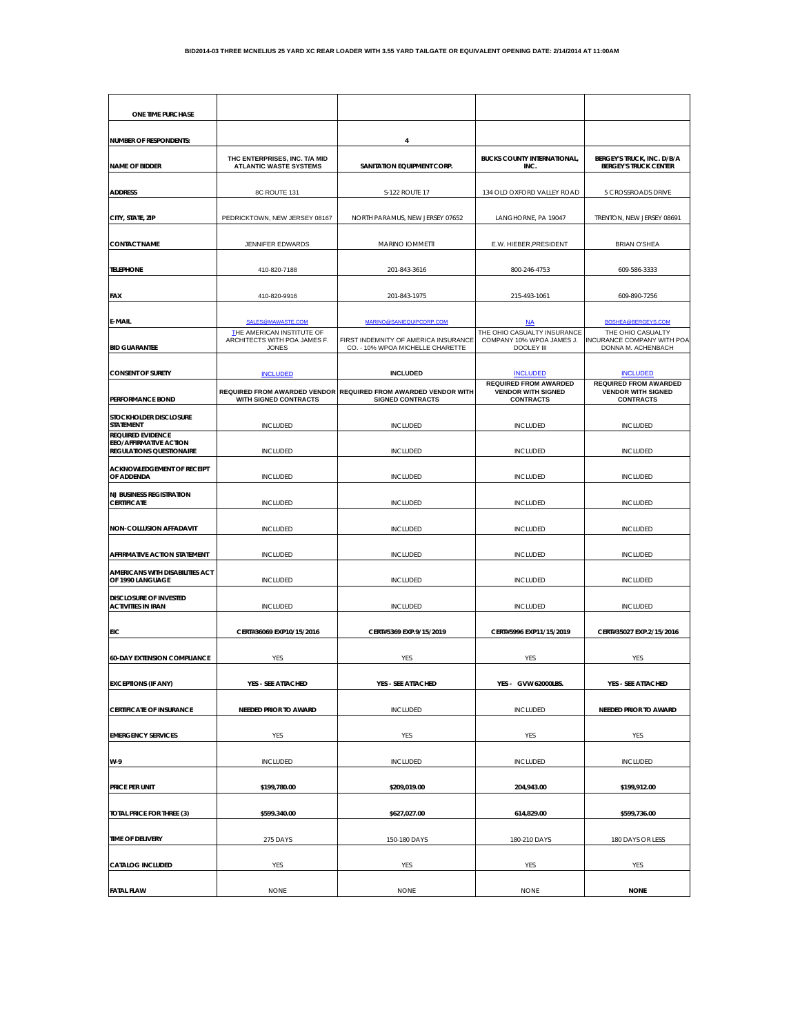| ONE TIME PURCHASE                                          |                                                                           |                                                                                           |                                                                        |                                                            |
|------------------------------------------------------------|---------------------------------------------------------------------------|-------------------------------------------------------------------------------------------|------------------------------------------------------------------------|------------------------------------------------------------|
|                                                            |                                                                           |                                                                                           |                                                                        |                                                            |
| <b>NUMBER OF RESPONDENTS:</b>                              |                                                                           | 4                                                                                         |                                                                        |                                                            |
| <b>NAME OF BIDDER</b>                                      | THC ENTERPRISES, INC. T/A MID<br><b>ATLANTIC WASTE SYSTEMS</b>            | SANITATION EQUIPMENT CORP.                                                                | <b>BUCKS COUNTY INTERNATIONAL,</b><br>INC.                             | BERGEY'S TRUCK, INC. D/B/A<br><b>BERGEY'S TRUCK CENTER</b> |
|                                                            |                                                                           |                                                                                           |                                                                        |                                                            |
| <b>ADDRESS</b>                                             | 8C ROUTE 131                                                              | S-122 ROUTE 17                                                                            | 134 OLD OXFORD VALLEY ROAD                                             | 5 CROSSROADS DRIVE                                         |
| CITY, STATE, ZIP                                           | PEDRICKTOWN, NEW JERSEY 08167                                             | NORTH PARAMUS, NEW JERSEY 07652                                                           | LANGHORNE, PA 19047                                                    | TRENTON, NEW JERSEY 08691                                  |
|                                                            |                                                                           |                                                                                           |                                                                        |                                                            |
| <b>CONTACT NAME</b>                                        | JENNIFER EDWARDS                                                          | <b>MARINO IOMMETTI</b>                                                                    | E.W. HIEBER, PRESIDENT                                                 | <b>BRIAN O'SHEA</b>                                        |
| <b>TELEPHONE</b>                                           | 410-820-7188                                                              | 201-843-3616                                                                              | 800-246-4753                                                           | 609-586-3333                                               |
| <b>FAX</b>                                                 |                                                                           | 201-843-1975                                                                              |                                                                        | 609-890-7256                                               |
|                                                            | 410-820-9916                                                              |                                                                                           | 215-493-1061                                                           |                                                            |
| E-MAIL                                                     | SALES@MAWASTE.COM                                                         | MARINO@SANIEQUIPCORP.COM                                                                  | <b>NA</b>                                                              | BOSHEA@BERGEYS.COM                                         |
| <b>BID GUARANTEE</b>                                       | THE AMERICAN INSTITUTE OF<br>ARCHITECTS WITH POA JAMES F.<br><b>JONES</b> | FIRST INDEMNITY OF AMERICA INSURANCE                                                      | THE OHIO CASUALTY INSURANCE<br>COMPANY 10% WPOA JAMES J.<br>DOOLEY III | THE OHIO CASUALTY<br>INCURANCE COMPANY WITH POA            |
|                                                            |                                                                           | CO. - 10% WPOA MICHELLE CHARETTE                                                          |                                                                        | DONNA M. ACHENBACH                                         |
| <b>CONSENT OF SURETY</b>                                   | <b>INCLUDED</b>                                                           | <b>INCLUDED</b>                                                                           | <b>INCLUDED</b><br><b>REQUIRED FROM AWARDED</b>                        | <b>INCLUDED</b><br><b>REQUIRED FROM AWARDED</b>            |
| <b>PERFORMANCE BOND</b>                                    | WITH SIGNED CONTRACTS                                                     | REQUIRED FROM AWARDED VENDOR REQUIRED FROM AWARDED VENDOR WITH<br><b>SIGNED CONTRACTS</b> | <b>VENDOR WITH SIGNED</b><br><b>CONTRACTS</b>                          | <b>VENDOR WITH SIGNED</b><br><b>CONTRACTS</b>              |
| STOCKHOLDER DISCLOSURE                                     |                                                                           |                                                                                           |                                                                        |                                                            |
| <b>STATEMENT</b><br><b>REQUIRED EVIDENCE</b>               | <b>INCLUDED</b>                                                           | <b>INCLUDED</b>                                                                           | <b>INCLUDED</b>                                                        | <b>INCLUDED</b>                                            |
| EEO/AFFIRMATIVE ACTION<br><b>REGULATIONS QUESTIONAIRE</b>  | <b>INCLUDED</b>                                                           | <b>INCLUDED</b>                                                                           | <b>INCLUDED</b>                                                        | <b>INCLUDED</b>                                            |
| <b>ACKNOWLEDGEMENT OF RECEIPT</b>                          |                                                                           |                                                                                           |                                                                        |                                                            |
| OF ADDENDA                                                 | <b>INCLUDED</b>                                                           | <b>INCLUDED</b>                                                                           | <b>INCLUDED</b>                                                        | <b>INCLUDED</b>                                            |
| <b>NJ BUSINESS REGISTRATION</b><br><b>CERTIFICATE</b>      | <b>INCLUDED</b>                                                           | <b>INCLUDED</b>                                                                           | <b>INCLUDED</b>                                                        | <b>INCLUDED</b>                                            |
|                                                            |                                                                           |                                                                                           |                                                                        |                                                            |
| NON-COLLUSION AFFADAVIT                                    | <b>INCLUDED</b>                                                           | <b>INCLUDED</b>                                                                           | <b>INCLUDED</b>                                                        | <b>INCLUDED</b>                                            |
| AFFIRMATIVE ACTION STATEMENT                               | <b>INCLUDED</b>                                                           | <b>INCLUDED</b>                                                                           | <b>INCLUDED</b>                                                        | <b>INCLUDED</b>                                            |
| AMERICANS WITH DISABILITIES ACT<br>OF 1990 LANGUAGE        |                                                                           |                                                                                           |                                                                        |                                                            |
|                                                            | <b>INCLUDED</b>                                                           | <b>INCLUDED</b>                                                                           | <b>INCLUDED</b>                                                        | <b>INCLUDED</b>                                            |
| <b>DISCLOSURE OF INVESTED</b><br><b>ACTIVITIES IN IRAN</b> | <b>INCLUDED</b>                                                           | <b>INCLUDED</b>                                                                           | <b>INCLUDED</b>                                                        | <b>INCLUDED</b>                                            |
| EIC                                                        | CERT#36069 EXP10/15/2016                                                  | CERT#5369 EXP.9/15/2019                                                                   | CERT#5996 EXP11/15/2019                                                | CERT#35027 EXP.2/15/2016                                   |
|                                                            |                                                                           |                                                                                           |                                                                        |                                                            |
| <b>60-DAY EXTENSION COMPLIANCE</b>                         | YES                                                                       | YES                                                                                       | YES                                                                    | YES                                                        |
| <b>EXCEPTIONS (IF ANY)</b>                                 | YES - SEE ATTACHED                                                        | YES - SEE ATTACHED                                                                        | YES - GVW 62000LBS.                                                    | YES - SEE ATTACHED                                         |
|                                                            |                                                                           |                                                                                           |                                                                        |                                                            |
| <b>CERTIFICATE OF INSURANCE</b>                            | <b>NEEDED PRIOR TO AWARD</b>                                              | <b>INCLUDED</b>                                                                           | <b>INCLUDED</b>                                                        | <b>NEEDED PRIOR TO AWARD</b>                               |
| <b>EMERGENCY SERVICES</b>                                  | YES                                                                       | YES                                                                                       | YES                                                                    | YES                                                        |
|                                                            |                                                                           |                                                                                           |                                                                        |                                                            |
| W-9                                                        | <b>INCLUDED</b>                                                           | <b>INCLUDED</b>                                                                           | <b>INCLUDED</b>                                                        | <b>INCLUDED</b>                                            |
| PRICE PER UNIT                                             | \$199,780.00                                                              | \$209,019.00                                                                              | 204,943.00                                                             | \$199,912.00                                               |
|                                                            |                                                                           |                                                                                           |                                                                        |                                                            |
| TOTAL PRICE FOR THREE (3)                                  | \$599.340.00                                                              | \$627,027.00                                                                              | 614,829.00                                                             | \$599,736.00                                               |
| TIME OF DELIVERY                                           | 275 DAYS                                                                  | 150-180 DAYS                                                                              | 180-210 DAYS                                                           | 180 DAYS OR LESS                                           |
|                                                            |                                                                           |                                                                                           |                                                                        |                                                            |
| <b>CATALOG INCLUDED</b>                                    | YES                                                                       | YES                                                                                       | YES                                                                    | YES                                                        |
| <b>FATAL FLAW</b>                                          | <b>NONE</b>                                                               | <b>NONE</b>                                                                               | <b>NONE</b>                                                            | <b>NONE</b>                                                |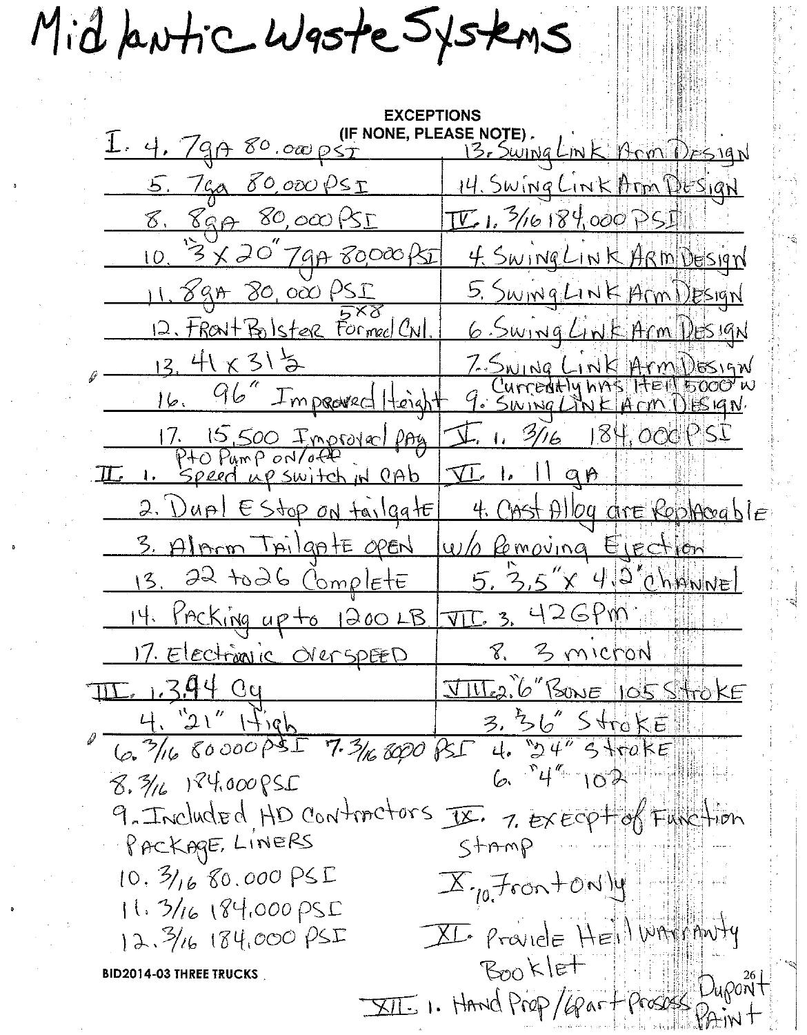Mid butic Waste Systems

**EXCEPTIONS** I. 4. 79A 80.000 PST (IF NONE, PLEASE NOTE). 5. 7 ga 80,000 PSI 14. Swing Link Arm DUSIAN 8. 89A 80,000 PSI  $\underline{V}$ , 3/16/184,000 PSI 3 X 20" 7 gp 80000 BI 4. SWINGLINK ARM DESIGN  $10<sup>2</sup>$  $\frac{11.898800000055}{11.898}$ 5. Swing Link Arm Design 12. FRONt Bolster Formed CNI 6 Swing Link Arm Design  $13.41 \times 315$ 7-Swing Link Arm DESIGN<br>GCurreatly has HELLBOOD W<br>9. Swing Link Arm DESIGN 96" Improved Height  $16.$ 1. 15,500 Improved pay.<br>P+O Pump on/off I. 1. 3/16 184,000 PSI II. 1. Speed up switch in OAb  $\overline{\mathcal{1}}$  1. Il ap 2. Dupl EStop on tailgate 4. Cast Alley are Replaceable 3. Alpron TAilgAtE OPEN W/ Pemoving Election 22 to 26 Complete 5. 3.5"x 4.2" (hawnel  $13.$ <u>JTC 3. 426Pm</u> 14. Pracking up to 1200 LB. 17. Electionic OverspEED 8. 3 micron <u> JIME2. 6" BONE 105 StrokE</u> III. 1.3.94 Cy  $3.3605$  Stroke 4. "21" 1figh<br>6. 3/16 80000 PSI 7.3/16 8000 PSI  $6.74$  102  $8.716$  124,000 PSC 9. Included HD contractors IX. 7. Execpt of Function PACKAGE, LINERS  $S + m m P$  $10.31680.000PSE$  $X_{10}$  Front ON  $\mu$  $11.31618400095C$ XI. ProvidE HEINWAMMUTY 12.3/16 184,000 PSI Booklet **BID2014-03 THREE TRUCKS** XII. I. HAND Prop/Graf Prosession...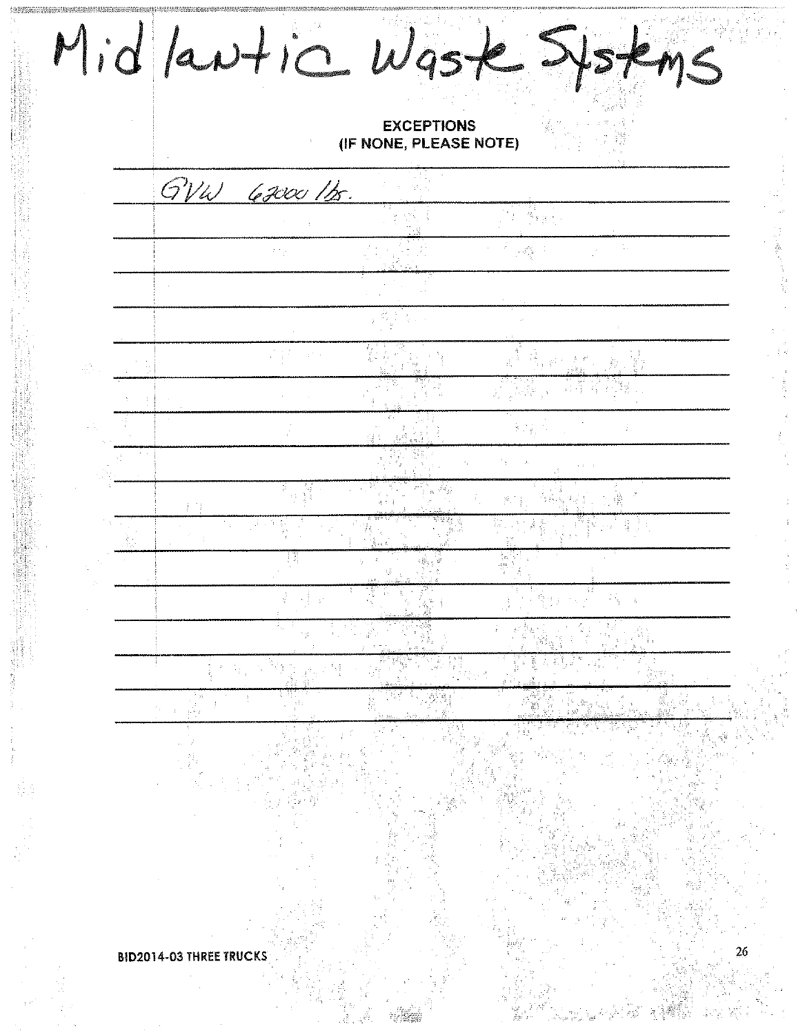| <b>EXCEPTIONS</b><br>(IF NONE, PLEASE NOTE)   |
|-----------------------------------------------|
| GVW 6200 1bs.                                 |
|                                               |
|                                               |
|                                               |
|                                               |
|                                               |
| $\mathbb{R}$<br>$\frac{c_{\rm s}}{c_{\rm B}}$ |
|                                               |
|                                               |
| 打门                                            |
|                                               |
| in the c<br>33                                |
| 医关节性关节 医牙<br>深度 一生                            |
|                                               |
|                                               |
|                                               |
|                                               |
|                                               |
|                                               |
|                                               |
|                                               |

|<br>|<br>|1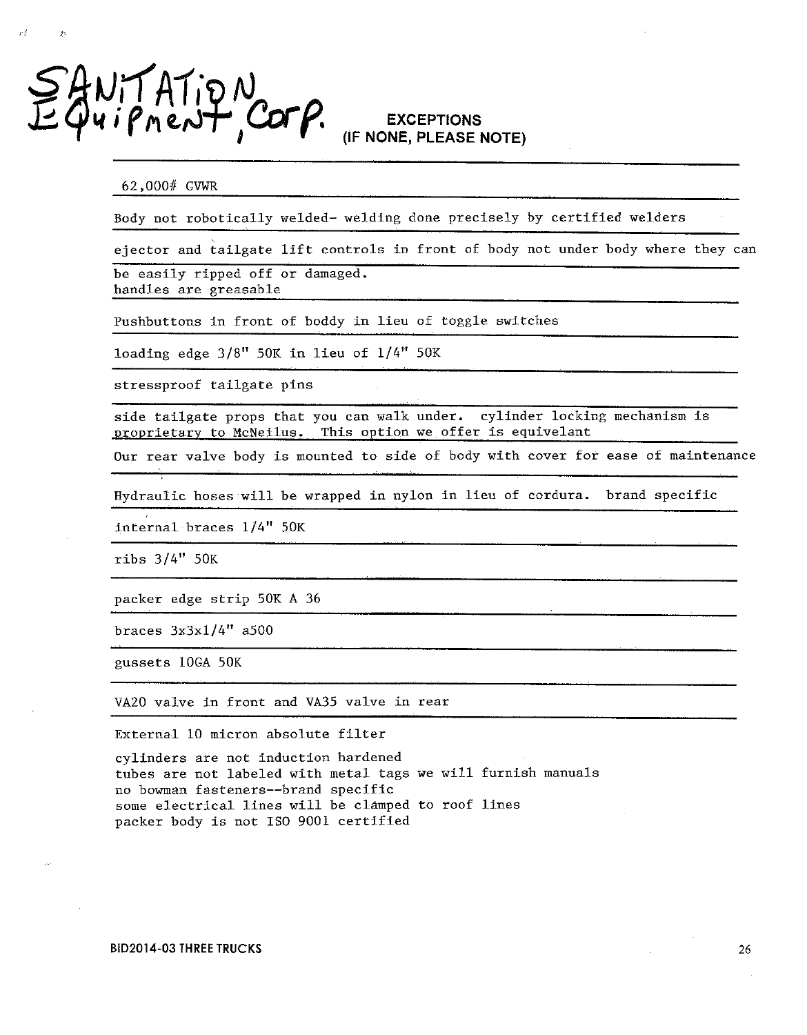

 $\sim 5^{\circ}$ 

## **EXCEPTIONS** (IF NONE, PLEASE NOTE)

62,000# GVWR

Body not robotically welded- welding done precisely by certified welders

ejector and tailgate lift controls in front of body not under body where they can

be easily ripped off or damaged. handles are greasable

Pushbuttons in front of boddy in lieu of toggle switches

loading edge 3/8" 50K in lieu of 1/4" 50K

stressproof tailgate pins

side tailgate props that you can walk under. cylinder locking mechanism is proprietary to McNeilus. This option we offer is equivelant

Our rear valve body is mounted to side of body with cover for ease of maintenance

Hydraulic hoses will be wrapped in nylon in lieu of cordura. brand specific

internal braces 1/4" 50K

ribs  $3/4"$  50K

packer edge strip 50K A 36

braces  $3x3x1/4"$  a500

gussets 10GA 50K

VA20 valve in front and VA35 valve in rear

External 10 micron absolute filter

cylinders are not induction hardened tubes are not labeled with metal tags we will furnish manuals no bowman fasteners--brand specific some electrical lines will be clamped to roof lines packer body is not ISO 9001 certified

26